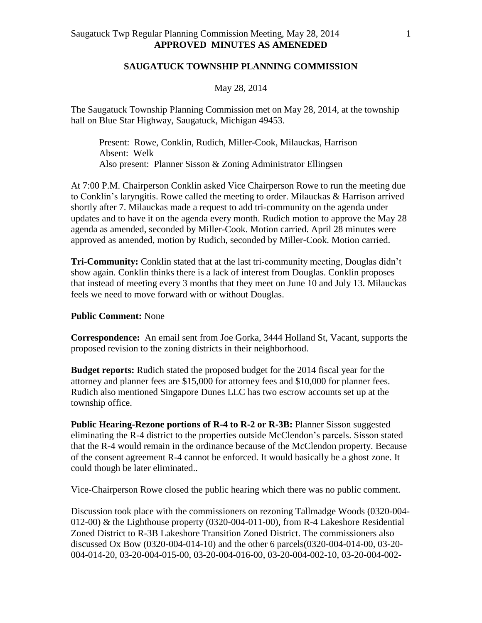## **SAUGATUCK TOWNSHIP PLANNING COMMISSION**

#### May 28, 2014

The Saugatuck Township Planning Commission met on May 28, 2014, at the township hall on Blue Star Highway, Saugatuck, Michigan 49453.

Present: Rowe, Conklin, Rudich, Miller-Cook, Milauckas, Harrison Absent: Welk Also present: Planner Sisson & Zoning Administrator Ellingsen

At 7:00 P.M. Chairperson Conklin asked Vice Chairperson Rowe to run the meeting due to Conklin's laryngitis. Rowe called the meeting to order. Milauckas & Harrison arrived shortly after 7. Milauckas made a request to add tri-community on the agenda under updates and to have it on the agenda every month. Rudich motion to approve the May 28 agenda as amended, seconded by Miller-Cook. Motion carried. April 28 minutes were approved as amended, motion by Rudich, seconded by Miller-Cook. Motion carried.

**Tri-Community:** Conklin stated that at the last tri-community meeting, Douglas didn't show again. Conklin thinks there is a lack of interest from Douglas. Conklin proposes that instead of meeting every 3 months that they meet on June 10 and July 13. Milauckas feels we need to move forward with or without Douglas.

## **Public Comment:** None

**Correspondence:** An email sent from Joe Gorka, 3444 Holland St, Vacant, supports the proposed revision to the zoning districts in their neighborhood.

**Budget reports:** Rudich stated the proposed budget for the 2014 fiscal year for the attorney and planner fees are \$15,000 for attorney fees and \$10,000 for planner fees. Rudich also mentioned Singapore Dunes LLC has two escrow accounts set up at the township office.

**Public Hearing-Rezone portions of R-4 to R-2 or R-3B:** Planner Sisson suggested eliminating the R-4 district to the properties outside McClendon's parcels. Sisson stated that the R-4 would remain in the ordinance because of the McClendon property. Because of the consent agreement R-4 cannot be enforced. It would basically be a ghost zone. It could though be later eliminated..

Vice-Chairperson Rowe closed the public hearing which there was no public comment.

Discussion took place with the commissioners on rezoning Tallmadge Woods (0320-004- 012-00) & the Lighthouse property (0320-004-011-00), from R-4 Lakeshore Residential Zoned District to R-3B Lakeshore Transition Zoned District. The commissioners also discussed Ox Bow (0320-004-014-10) and the other 6 parcels(0320-004-014-00, 03-20- 004-014-20, 03-20-004-015-00, 03-20-004-016-00, 03-20-004-002-10, 03-20-004-002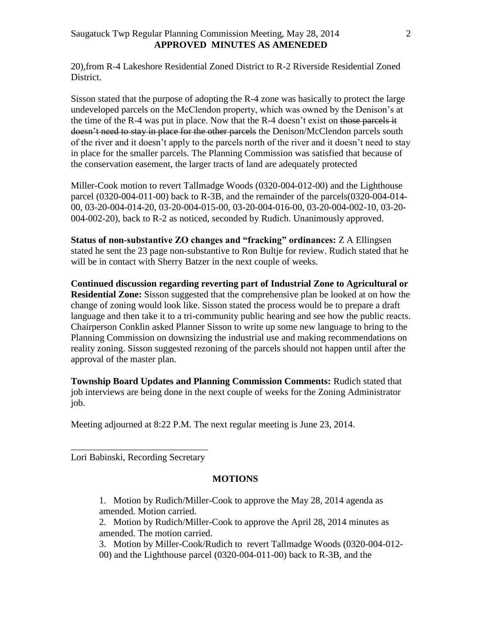20),from R-4 Lakeshore Residential Zoned District to R-2 Riverside Residential Zoned District.

Sisson stated that the purpose of adopting the R-4 zone was basically to protect the large undeveloped parcels on the McClendon property, which was owned by the Denison's at the time of the  $R-4$  was put in place. Now that the  $R-4$  doesn't exist on those parcels it doesn't need to stay in place for the other parcels the Denison/McClendon parcels south of the river and it doesn't apply to the parcels north of the river and it doesn't need to stay in place for the smaller parcels. The Planning Commission was satisfied that because of the conservation easement, the larger tracts of land are adequately protected

Miller-Cook motion to revert Tallmadge Woods (0320-004-012-00) and the Lighthouse parcel (0320-004-011-00) back to R-3B, and the remainder of the parcels(0320-004-014- 00, 03-20-004-014-20, 03-20-004-015-00, 03-20-004-016-00, 03-20-004-002-10, 03-20- 004-002-20), back to R-2 as noticed, seconded by Rudich. Unanimously approved.

**Status of non-substantive ZO changes and "fracking" ordinances:** Z A Ellingsen stated he sent the 23 page non-substantive to Ron Bultje for review. Rudich stated that he will be in contact with Sherry Batzer in the next couple of weeks.

**Continued discussion regarding reverting part of Industrial Zone to Agricultural or Residential Zone:** Sisson suggested that the comprehensive plan be looked at on how the change of zoning would look like. Sisson stated the process would be to prepare a draft language and then take it to a tri-community public hearing and see how the public reacts. Chairperson Conklin asked Planner Sisson to write up some new language to bring to the Planning Commission on downsizing the industrial use and making recommendations on reality zoning. Sisson suggested rezoning of the parcels should not happen until after the approval of the master plan.

**Township Board Updates and Planning Commission Comments:** Rudich stated that job interviews are being done in the next couple of weeks for the Zoning Administrator job.

Meeting adjourned at 8:22 P.M. The next regular meeting is June 23, 2014.

\_\_\_\_\_\_\_\_\_\_\_\_\_\_\_\_\_\_\_\_\_\_\_\_\_\_\_\_\_ Lori Babinski, Recording Secretary

### **MOTIONS**

- 1. Motion by Rudich/Miller-Cook to approve the May 28, 2014 agenda as amended. Motion carried.
- 2. Motion by Rudich/Miller-Cook to approve the April 28, 2014 minutes as amended. The motion carried.
- 3. Motion by Miller-Cook/Rudich to revert Tallmadge Woods (0320-004-012- 00) and the Lighthouse parcel (0320-004-011-00) back to R-3B, and the